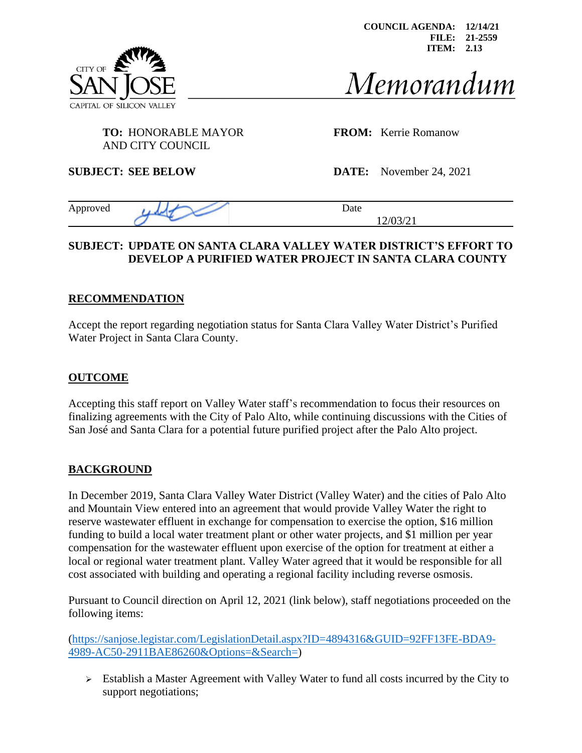

**COUNCIL AGENDA: 12/14/21 FILE: 21-2559 ITEM: 2.13**

# Memorandum

# **TO:** HONORABLE MAYOR **FROM:** Kerrie Romanow

AND CITY COUNCIL

**SUBJECT: SEE BELOW DATE:** November 24, 2021

Approved development Date 12/03/21

#### **SUBJECT: UPDATE ON SANTA CLARA VALLEY WATER DISTRICT'S EFFORT TO DEVELOP A PURIFIED WATER PROJECT IN SANTA CLARA COUNTY**

#### **RECOMMENDATION**

Accept the report regarding negotiation status for Santa Clara Valley Water District's Purified Water Project in Santa Clara County.

#### **OUTCOME**

Accepting this staff report on Valley Water staff's recommendation to focus their resources on finalizing agreements with the City of Palo Alto, while continuing discussions with the Cities of San José and Santa Clara for a potential future purified project after the Palo Alto project.

#### **BACKGROUND**

In December 2019, Santa Clara Valley Water District (Valley Water) and the cities of Palo Alto and Mountain View entered into an agreement that would provide Valley Water the right to reserve wastewater effluent in exchange for compensation to exercise the option, \$16 million funding to build a local water treatment plant or other water projects, and \$1 million per year compensation for the wastewater effluent upon exercise of the option for treatment at either a local or regional water treatment plant. Valley Water agreed that it would be responsible for all cost associated with building and operating a regional facility including reverse osmosis.

Pursuant to Council direction on April 12, 2021 (link below), staff negotiations proceeded on the following items:

[\(https://sanjose.legistar.com/LegislationDetail.aspx?ID=4894316&GUID=92FF13FE-BDA9-](https://sanjose.legistar.com/LegislationDetail.aspx?ID=4894316&GUID=92FF13FE-BDA9-4989-AC50-2911BAE86260&Options=&Search=) [4989-AC50-2911BAE86260&Options=&Search=\)](https://sanjose.legistar.com/LegislationDetail.aspx?ID=4894316&GUID=92FF13FE-BDA9-4989-AC50-2911BAE86260&Options=&Search=)

➢ Establish a Master Agreement with Valley Water to fund all costs incurred by the City to support negotiations;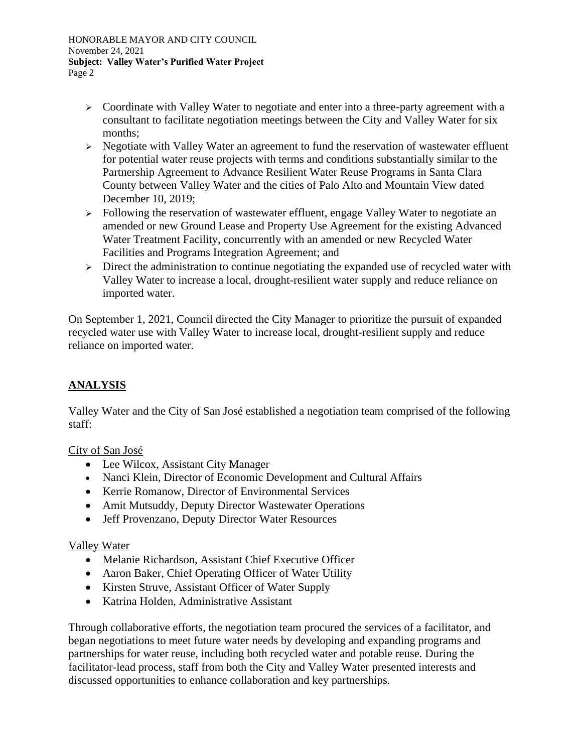HONORABLE MAYOR AND CITY COUNCIL November 24, 2021 **Subject: Valley Water's Purified Water Project** Page 2

- ➢ Coordinate with Valley Water to negotiate and enter into a three-party agreement with a consultant to facilitate negotiation meetings between the City and Valley Water for six months;
- ➢ Negotiate with Valley Water an agreement to fund the reservation of wastewater effluent for potential water reuse projects with terms and conditions substantially similar to the Partnership Agreement to Advance Resilient Water Reuse Programs in Santa Clara County between Valley Water and the cities of Palo Alto and Mountain View dated December 10, 2019;
- ➢ Following the reservation of wastewater effluent, engage Valley Water to negotiate an amended or new Ground Lease and Property Use Agreement for the existing Advanced Water Treatment Facility, concurrently with an amended or new Recycled Water Facilities and Programs Integration Agreement; and
- ➢ Direct the administration to continue negotiating the expanded use of recycled water with Valley Water to increase a local, drought-resilient water supply and reduce reliance on imported water.

On September 1, 2021, Council directed the City Manager to prioritize the pursuit of expanded recycled water use with Valley Water to increase local, drought-resilient supply and reduce reliance on imported water.

### **ANALYSIS**

Valley Water and the City of San José established a negotiation team comprised of the following staff:

City of San José

- Lee Wilcox, Assistant City Manager
- Nanci Klein, Director of Economic Development and Cultural Affairs
- Kerrie Romanow, Director of Environmental Services
- Amit Mutsuddy, Deputy Director Wastewater Operations
- Jeff Provenzano, Deputy Director Water Resources

#### Valley Water

- Melanie Richardson, Assistant Chief Executive Officer
- Aaron Baker, Chief Operating Officer of Water Utility
- Kirsten Struve, Assistant Officer of Water Supply
- Katrina Holden, Administrative Assistant

Through collaborative efforts, the negotiation team procured the services of a facilitator, and began negotiations to meet future water needs by developing and expanding programs and partnerships for water reuse, including both recycled water and potable reuse. During the facilitator-lead process, staff from both the City and Valley Water presented interests and discussed opportunities to enhance collaboration and key partnerships.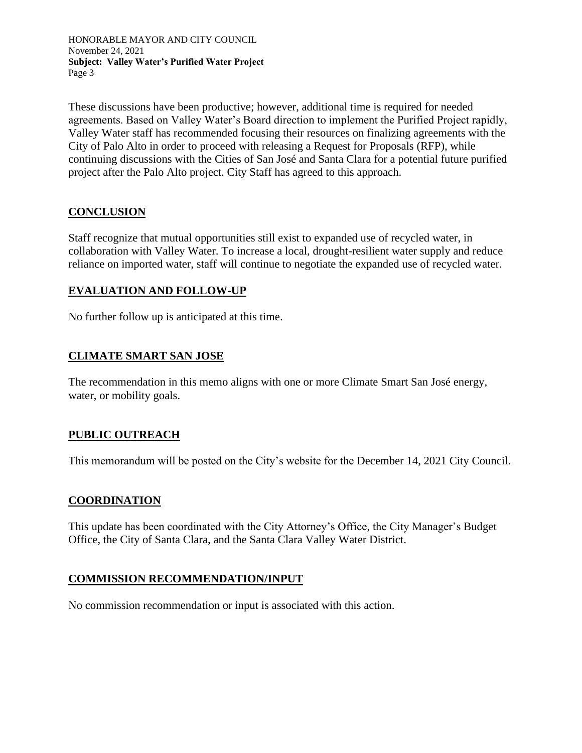HONORABLE MAYOR AND CITY COUNCIL November 24, 2021 **Subject: Valley Water's Purified Water Project** Page 3

These discussions have been productive; however, additional time is required for needed agreements. Based on Valley Water's Board direction to implement the Purified Project rapidly, Valley Water staff has recommended focusing their resources on finalizing agreements with the City of Palo Alto in order to proceed with releasing a Request for Proposals (RFP), while continuing discussions with the Cities of San José and Santa Clara for a potential future purified project after the Palo Alto project. City Staff has agreed to this approach.

#### **CONCLUSION**

Staff recognize that mutual opportunities still exist to expanded use of recycled water, in collaboration with Valley Water. To increase a local, drought-resilient water supply and reduce reliance on imported water, staff will continue to negotiate the expanded use of recycled water.

#### **EVALUATION AND FOLLOW-UP**

No further follow up is anticipated at this time.

#### **CLIMATE SMART SAN JOSE**

The recommendation in this memo aligns with one or more Climate Smart San José energy, water, or mobility goals.

#### **PUBLIC OUTREACH**

This memorandum will be posted on the City's website for the December 14, 2021 City Council.

#### **COORDINATION**

This update has been coordinated with the City Attorney's Office, the City Manager's Budget Office, the City of Santa Clara, and the Santa Clara Valley Water District.

#### **COMMISSION RECOMMENDATION/INPUT**

No commission recommendation or input is associated with this action.